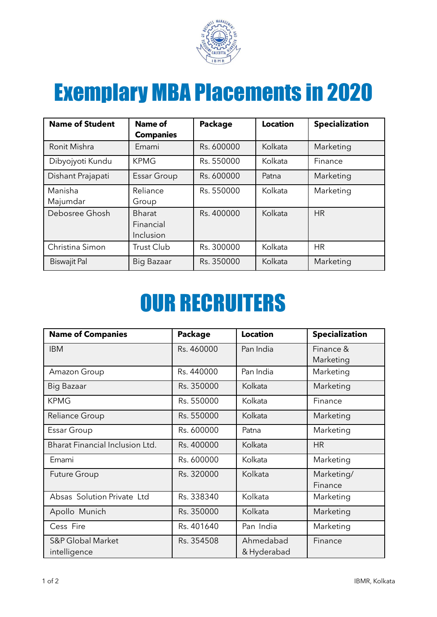

## Exemplary MBA Placements in 2020

| <b>Name of Student</b> | <b>Name of</b><br><b>Companies</b>      | <b>Package</b> | <b>Location</b> | <b>Specialization</b> |
|------------------------|-----------------------------------------|----------------|-----------------|-----------------------|
| Ronit Mishra           | Emami                                   | Rs. 600000     | Kolkata         | Marketing             |
| Dibyojyoti Kundu       | <b>KPMG</b>                             | Rs. 550000     | Kolkata         | Finance               |
| Dishant Prajapati      | <b>Essar Group</b>                      | Rs. 600000     | Patna           | Marketing             |
| Manisha<br>Majumdar    | Reliance<br>Group                       | Rs. 550000     | Kolkata         | Marketing             |
| Debosree Ghosh         | <b>Bharat</b><br>Financial<br>Inclusion | Rs. 400000     | Kolkata         | <b>HR</b>             |
| Christina Simon        | <b>Trust Club</b>                       | Rs. 300000     | Kolkata         | <b>HR</b>             |
| <b>Biswajit Pal</b>    | Big Bazaar                              | Rs. 350000     | Kolkata         | Marketing             |

## OUR RECRUITERS

| <b>Name of Companies</b>        | <b>Package</b> | <b>Location</b> | <b>Specialization</b> |
|---------------------------------|----------------|-----------------|-----------------------|
| <b>IBM</b>                      | Rs. 460000     | Pan India       | Finance &             |
|                                 |                |                 | Marketing             |
| Amazon Group                    | Rs. 440000     | Pan India       | Marketing             |
| Big Bazaar                      | Rs. 350000     | Kolkata         | Marketing             |
| <b>KPMG</b>                     | Rs. 550000     | Kolkata         | Finance               |
| Reliance Group                  | Rs. 550000     | Kolkata         | Marketing             |
| Essar Group                     | Rs. 600000     | Patna           | Marketing             |
| Bharat Financial Inclusion Ltd. | Rs. 400000     | Kolkata         | <b>HR</b>             |
| Emami                           | Rs. 600000     | Kolkata         | Marketing             |
| <b>Future Group</b>             | Rs. 320000     | Kolkata         | Marketing/            |
|                                 |                |                 | Finance               |
| Absas Solution Private Ltd      | Rs. 338340     | Kolkata         | Marketing             |
| Apollo Munich                   | Rs. 350000     | Kolkata         | Marketing             |
| Cess Fire                       | Rs. 401640     | Pan India       | Marketing             |
| <b>S&amp;P Global Market</b>    | Rs. 354508     | Ahmedabad       | Finance               |
| intelligence                    |                | & Hyderabad     |                       |